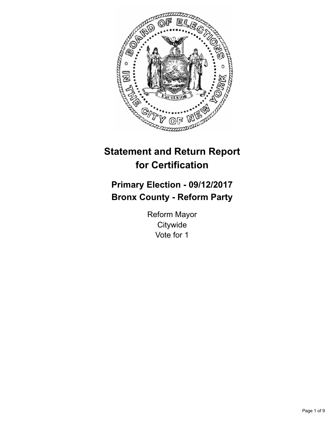

# **Statement and Return Report for Certification**

## **Primary Election - 09/12/2017 Bronx County - Reform Party**

Reform Mayor **Citywide** Vote for 1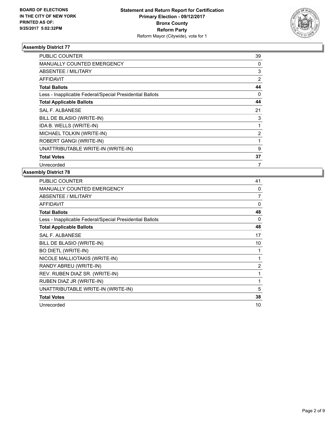

| PUBLIC COUNTER                                           | 39             |
|----------------------------------------------------------|----------------|
| <b>MANUALLY COUNTED EMERGENCY</b>                        | 0              |
| ABSENTEE / MILITARY                                      | 3              |
| <b>AFFIDAVIT</b>                                         | $\overline{2}$ |
| <b>Total Ballots</b>                                     | 44             |
| Less - Inapplicable Federal/Special Presidential Ballots | 0              |
| <b>Total Applicable Ballots</b>                          | 44             |
| <b>SAL F. ALBANESE</b>                                   | 21             |
| BILL DE BLASIO (WRITE-IN)                                | 3              |
| IDA B. WELLS (WRITE-IN)                                  | 1              |
| MICHAEL TOLKIN (WRITE-IN)                                | $\overline{2}$ |
| ROBERT GANGI (WRITE-IN)                                  | 1              |
| UNATTRIBUTABLE WRITE-IN (WRITE-IN)                       | 9              |
| <b>Total Votes</b>                                       | 37             |
| Unrecorded                                               | 7              |

| PUBLIC COUNTER                                           | 41 |
|----------------------------------------------------------|----|
| <b>MANUALLY COUNTED EMERGENCY</b>                        | 0  |
| ABSENTEE / MILITARY                                      | 7  |
| AFFIDAVIT                                                | 0  |
| <b>Total Ballots</b>                                     | 48 |
| Less - Inapplicable Federal/Special Presidential Ballots | 0  |
| <b>Total Applicable Ballots</b>                          | 48 |
| <b>SAL F. ALBANESE</b>                                   | 17 |
| BILL DE BLASIO (WRITE-IN)                                | 10 |
| <b>BO DIETL (WRITE-IN)</b>                               |    |
| NICOLE MALLIOTAKIS (WRITE-IN)                            | 1  |
| RANDY ABREU (WRITE-IN)                                   | 2  |
| REV. RUBEN DIAZ SR. (WRITE-IN)                           | 1  |
| RUBEN DIAZ JR (WRITE-IN)                                 | 1  |
| UNATTRIBUTABLE WRITE-IN (WRITE-IN)                       | 5  |
| <b>Total Votes</b>                                       | 38 |
| Unrecorded                                               | 10 |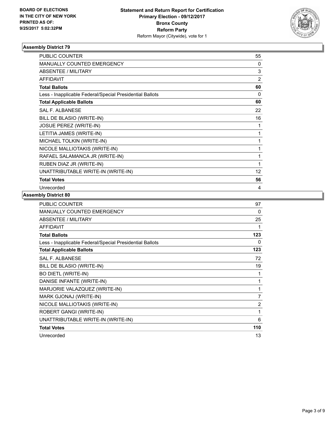

| <b>PUBLIC COUNTER</b>                                    | 55 |
|----------------------------------------------------------|----|
| <b>MANUALLY COUNTED EMERGENCY</b>                        | 0  |
| ABSENTEE / MILITARY                                      | 3  |
| <b>AFFIDAVIT</b>                                         | 2  |
| <b>Total Ballots</b>                                     | 60 |
| Less - Inapplicable Federal/Special Presidential Ballots | 0  |
| <b>Total Applicable Ballots</b>                          | 60 |
| <b>SAL F. ALBANESE</b>                                   | 22 |
| BILL DE BLASIO (WRITE-IN)                                | 16 |
| <b>JOSUE PEREZ (WRITE-IN)</b>                            | 1  |
| LETITIA JAMES (WRITE-IN)                                 | 1  |
| MICHAEL TOLKIN (WRITE-IN)                                |    |
| NICOLE MALLIOTAKIS (WRITE-IN)                            | 1  |
| RAFAEL SALAMANCA JR (WRITE-IN)                           | 1  |
| RUBEN DIAZ JR (WRITE-IN)                                 | 1  |
| UNATTRIBUTABLE WRITE-IN (WRITE-IN)                       | 12 |
| <b>Total Votes</b>                                       | 56 |
| Unrecorded                                               | 4  |

| PUBLIC COUNTER                                           | 97             |
|----------------------------------------------------------|----------------|
| MANUALLY COUNTED EMERGENCY                               | 0              |
| <b>ABSENTEE / MILITARY</b>                               | 25             |
| <b>AFFIDAVIT</b>                                         | 1              |
| <b>Total Ballots</b>                                     | 123            |
| Less - Inapplicable Federal/Special Presidential Ballots | $\Omega$       |
| <b>Total Applicable Ballots</b>                          | 123            |
| <b>SAL F. ALBANESE</b>                                   | 72             |
| BILL DE BLASIO (WRITE-IN)                                | 19             |
| <b>BO DIETL (WRITE-IN)</b>                               | 1              |
| DANISE INFANTE (WRITE-IN)                                | 1              |
| MARJORIE VALAZQUEZ (WRITE-IN)                            | 1              |
| MARK GJONAJ (WRITE-IN)                                   | 7              |
| NICOLE MALLIOTAKIS (WRITE-IN)                            | $\overline{2}$ |
| ROBERT GANGI (WRITE-IN)                                  | 1              |
| UNATTRIBUTABLE WRITE-IN (WRITE-IN)                       | 6              |
| <b>Total Votes</b>                                       | 110            |
| Unrecorded                                               | 13             |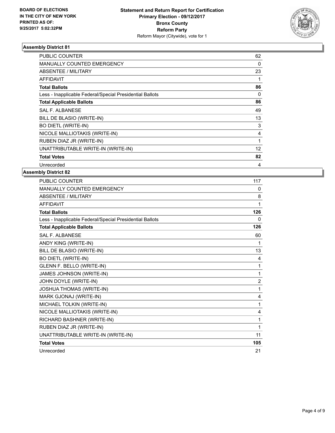

| <b>PUBLIC COUNTER</b>                                    | 62 |
|----------------------------------------------------------|----|
| <b>MANUALLY COUNTED EMERGENCY</b>                        | 0  |
| ABSENTEE / MILITARY                                      | 23 |
| AFFIDAVIT                                                |    |
| <b>Total Ballots</b>                                     | 86 |
| Less - Inapplicable Federal/Special Presidential Ballots | 0  |
| <b>Total Applicable Ballots</b>                          | 86 |
| <b>SAL F. ALBANESE</b>                                   | 49 |
| BILL DE BLASIO (WRITE-IN)                                | 13 |
| <b>BO DIETL (WRITE-IN)</b>                               | 3  |
| NICOLE MALLIOTAKIS (WRITE-IN)                            | 4  |
| RUBEN DIAZ JR (WRITE-IN)                                 | 1  |
| UNATTRIBUTABLE WRITE-IN (WRITE-IN)                       | 12 |
| <b>Total Votes</b>                                       | 82 |
| Unrecorded                                               | 4  |

| PUBLIC COUNTER                                           | 117            |
|----------------------------------------------------------|----------------|
| MANUALLY COUNTED EMERGENCY                               | 0              |
| <b>ABSENTEE / MILITARY</b>                               | 8              |
| <b>AFFIDAVIT</b>                                         | 1              |
| <b>Total Ballots</b>                                     | 126            |
| Less - Inapplicable Federal/Special Presidential Ballots | 0              |
| <b>Total Applicable Ballots</b>                          | 126            |
| <b>SAL F. ALBANESE</b>                                   | 60             |
| ANDY KING (WRITE-IN)                                     | 1              |
| BILL DE BLASIO (WRITE-IN)                                | 13             |
| <b>BO DIETL (WRITE-IN)</b>                               | 4              |
| GLENN F. BELLO (WRITE-IN)                                | 1              |
| JAMES JOHNSON (WRITE-IN)                                 | 1              |
| JOHN DOYLE (WRITE-IN)                                    | $\overline{2}$ |
| JOSHUA THOMAS (WRITE-IN)                                 | 1              |
| MARK GJONAJ (WRITE-IN)                                   | 4              |
| MICHAEL TOLKIN (WRITE-IN)                                | 1              |
| NICOLE MALLIOTAKIS (WRITE-IN)                            | 4              |
| RICHARD BASHNER (WRITE-IN)                               | 1              |
| RUBEN DIAZ JR (WRITE-IN)                                 | 1              |
| UNATTRIBUTABLE WRITE-IN (WRITE-IN)                       | 11             |
| <b>Total Votes</b>                                       | 105            |
| Unrecorded                                               | 21             |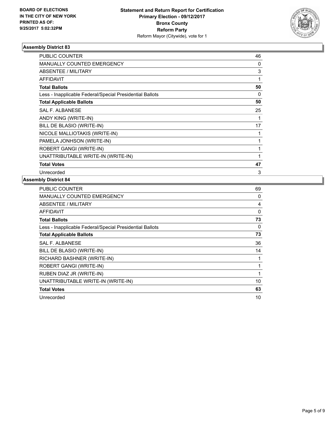

| <b>PUBLIC COUNTER</b>                                    | 46          |
|----------------------------------------------------------|-------------|
| <b>MANUALLY COUNTED EMERGENCY</b>                        | 0           |
| ABSENTEE / MILITARY                                      | 3           |
| <b>AFFIDAVIT</b>                                         | 1           |
| <b>Total Ballots</b>                                     | 50          |
| Less - Inapplicable Federal/Special Presidential Ballots | 0           |
| <b>Total Applicable Ballots</b>                          | 50          |
| SAL F. ALBANESE                                          | 25          |
| ANDY KING (WRITE-IN)                                     |             |
| BILL DE BLASIO (WRITE-IN)                                | 17          |
| NICOLE MALLIOTAKIS (WRITE-IN)                            | $\mathbf 1$ |
| PAMELA JONHSON (WRITE-IN)                                | 1           |
| ROBERT GANGI (WRITE-IN)                                  | 1           |
| UNATTRIBUTABLE WRITE-IN (WRITE-IN)                       | 1           |
| <b>Total Votes</b>                                       | 47          |
| Unrecorded                                               | 3           |

| PUBLIC COUNTER                                           | 69       |
|----------------------------------------------------------|----------|
| <b>MANUALLY COUNTED EMERGENCY</b>                        | 0        |
| ABSENTEE / MILITARY                                      | 4        |
| AFFIDAVIT                                                | $\Omega$ |
| <b>Total Ballots</b>                                     | 73       |
| Less - Inapplicable Federal/Special Presidential Ballots | 0        |
| <b>Total Applicable Ballots</b>                          | 73       |
| SAL F. ALBANESE                                          | 36       |
| BILL DE BLASIO (WRITE-IN)                                | 14       |
| RICHARD BASHNER (WRITE-IN)                               |          |
| ROBERT GANGI (WRITE-IN)                                  |          |
| RUBEN DIAZ JR (WRITE-IN)                                 | 1        |
| UNATTRIBUTABLE WRITE-IN (WRITE-IN)                       | 10       |
| <b>Total Votes</b>                                       | 63       |
| Unrecorded                                               | 10       |
|                                                          |          |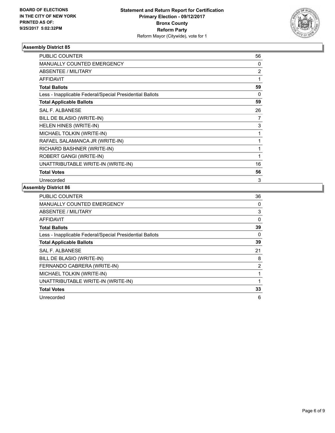

| <b>PUBLIC COUNTER</b>                                    | 56             |
|----------------------------------------------------------|----------------|
| <b>MANUALLY COUNTED EMERGENCY</b>                        | 0              |
| ABSENTEE / MILITARY                                      | $\overline{2}$ |
| <b>AFFIDAVIT</b>                                         | 1              |
| <b>Total Ballots</b>                                     | 59             |
| Less - Inapplicable Federal/Special Presidential Ballots | 0              |
| <b>Total Applicable Ballots</b>                          | 59             |
| <b>SAL F. ALBANESE</b>                                   | 26             |
| BILL DE BLASIO (WRITE-IN)                                | 7              |
| HELEN HINES (WRITE-IN)                                   | 3              |
| MICHAEL TOLKIN (WRITE-IN)                                | 1              |
| RAFAEL SALAMANCA JR (WRITE-IN)                           | 1              |
| RICHARD BASHNER (WRITE-IN)                               | 1              |
| ROBERT GANGI (WRITE-IN)                                  | 1              |
| UNATTRIBUTABLE WRITE-IN (WRITE-IN)                       | 16             |
| <b>Total Votes</b>                                       | 56             |
| Unrecorded                                               | 3              |

| PUBLIC COUNTER                                           | 36 |
|----------------------------------------------------------|----|
| <b>MANUALLY COUNTED EMERGENCY</b>                        | 0  |
| ABSENTEE / MILITARY                                      | 3  |
| AFFIDAVIT                                                | 0  |
| <b>Total Ballots</b>                                     | 39 |
| Less - Inapplicable Federal/Special Presidential Ballots | 0  |
| <b>Total Applicable Ballots</b>                          | 39 |
| <b>SAL F. ALBANESE</b>                                   | 21 |
| BILL DE BLASIO (WRITE-IN)                                | 8  |
| FERNANDO CABRERA (WRITE-IN)                              | 2  |
| MICHAEL TOLKIN (WRITE-IN)                                | 1  |
| UNATTRIBUTABLE WRITE-IN (WRITE-IN)                       | 1  |
| <b>Total Votes</b>                                       | 33 |
| Unrecorded                                               | 6  |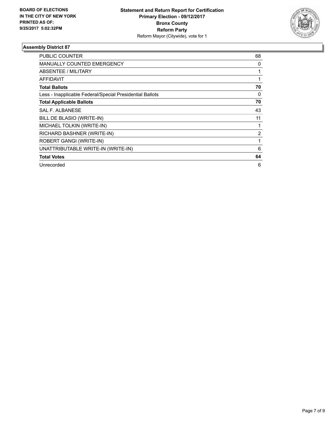

| <b>PUBLIC COUNTER</b>                                    | 68 |
|----------------------------------------------------------|----|
| <b>MANUALLY COUNTED EMERGENCY</b>                        | 0  |
| ABSENTEE / MILITARY                                      |    |
| <b>AFFIDAVIT</b>                                         |    |
| <b>Total Ballots</b>                                     | 70 |
| Less - Inapplicable Federal/Special Presidential Ballots | 0  |
| <b>Total Applicable Ballots</b>                          | 70 |
| SAL F. ALBANESE                                          | 43 |
| BILL DE BLASIO (WRITE-IN)                                | 11 |
| MICHAEL TOLKIN (WRITE-IN)                                |    |
| RICHARD BASHNER (WRITE-IN)                               | 2  |
| ROBERT GANGI (WRITE-IN)                                  | 1  |
| UNATTRIBUTABLE WRITE-IN (WRITE-IN)                       | 6  |
| <b>Total Votes</b>                                       | 64 |
| Unrecorded                                               | 6  |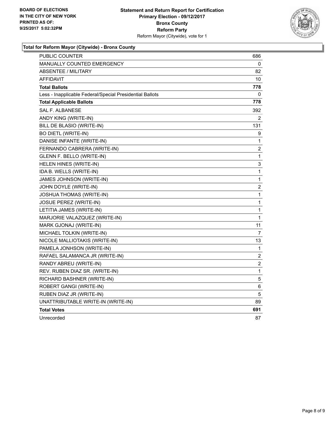

#### **Total for Reform Mayor (Citywide) - Bronx County**

| PUBLIC COUNTER                                           | 686 |
|----------------------------------------------------------|-----|
| <b>MANUALLY COUNTED EMERGENCY</b>                        | 0   |
| <b>ABSENTEE / MILITARY</b>                               | 82  |
| <b>AFFIDAVIT</b>                                         | 10  |
| <b>Total Ballots</b>                                     | 778 |
| Less - Inapplicable Federal/Special Presidential Ballots | 0   |
| <b>Total Applicable Ballots</b>                          | 778 |
| SAL F. ALBANESE                                          | 392 |
| ANDY KING (WRITE-IN)                                     | 2   |
| BILL DE BLASIO (WRITE-IN)                                | 131 |
| <b>BO DIETL (WRITE-IN)</b>                               | 9   |
| DANISE INFANTE (WRITE-IN)                                | 1   |
| FERNANDO CABRERA (WRITE-IN)                              | 2   |
| GLENN F. BELLO (WRITE-IN)                                | 1   |
| HELEN HINES (WRITE-IN)                                   | 3   |
| IDA B. WELLS (WRITE-IN)                                  | 1   |
| JAMES JOHNSON (WRITE-IN)                                 | 1   |
| JOHN DOYLE (WRITE-IN)                                    | 2   |
| JOSHUA THOMAS (WRITE-IN)                                 | 1   |
| JOSUE PEREZ (WRITE-IN)                                   | 1   |
| LETITIA JAMES (WRITE-IN)                                 | 1   |
| MARJORIE VALAZQUEZ (WRITE-IN)                            | 1   |
| MARK GJONAJ (WRITE-IN)                                   | 11  |
| MICHAEL TOLKIN (WRITE-IN)                                | 7   |
| NICOLE MALLIOTAKIS (WRITE-IN)                            | 13  |
| PAMELA JONHSON (WRITE-IN)                                | 1   |
| RAFAEL SALAMANCA JR (WRITE-IN)                           | 2   |
| RANDY ABREU (WRITE-IN)                                   | 2   |
| REV. RUBEN DIAZ SR. (WRITE-IN)                           | 1   |
| RICHARD BASHNER (WRITE-IN)                               | 5   |
| ROBERT GANGI (WRITE-IN)                                  | 6   |
| RUBEN DIAZ JR (WRITE-IN)                                 | 5   |
| UNATTRIBUTABLE WRITE-IN (WRITE-IN)                       | 89  |
| <b>Total Votes</b>                                       | 691 |
| Unrecorded                                               | 87  |